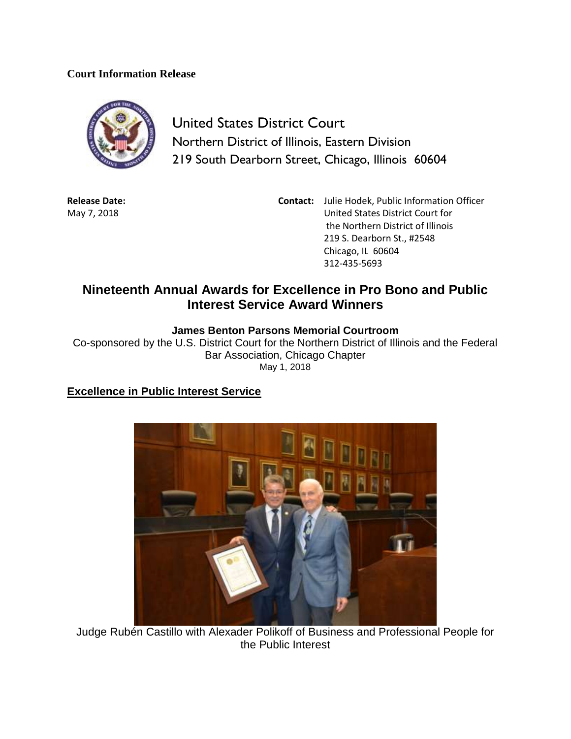#### **Court Information Release**



United States District Court Northern District of Illinois, Eastern Division 219 South Dearborn Street, Chicago, Illinois 60604

**Release Date:** May 7, 2018

**Contact:** Julie Hodek, Public Information Officer United States District Court for the Northern District of Illinois 219 S. Dearborn St., #2548 Chicago, IL 60604 312-435-5693

# **Nineteenth Annual Awards for Excellence in Pro Bono and Public Interest Service Award Winners**

### **James Benton Parsons Memorial Courtroom**

Co-sponsored by the U.S. District Court for the Northern District of Illinois and the Federal Bar Association, Chicago Chapter May 1, 2018

### **Excellence in Public Interest Service**



Judge Rubén Castillo with Alexader Polikoff of Business and Professional People for the Public Interest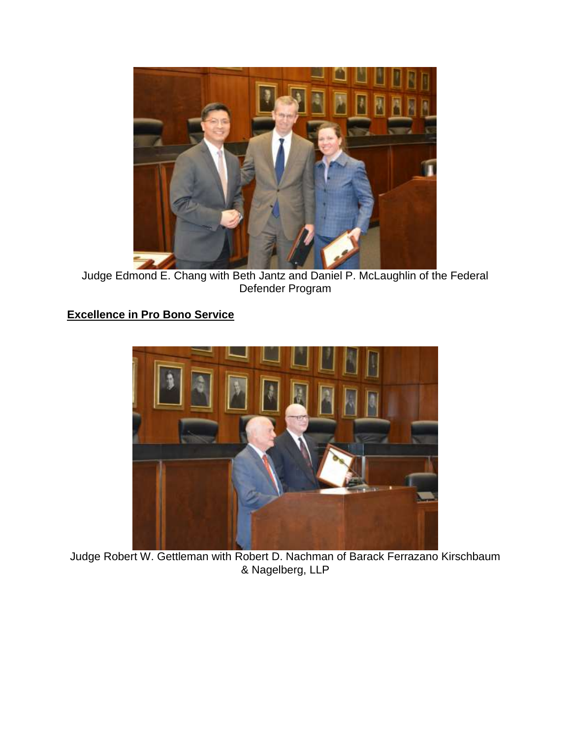

Judge Edmond E. Chang with Beth Jantz and Daniel P. McLaughlin of the Federal Defender Program

# **Excellence in Pro Bono Service**



Judge Robert W. Gettleman with Robert D. Nachman of Barack Ferrazano Kirschbaum & Nagelberg, LLP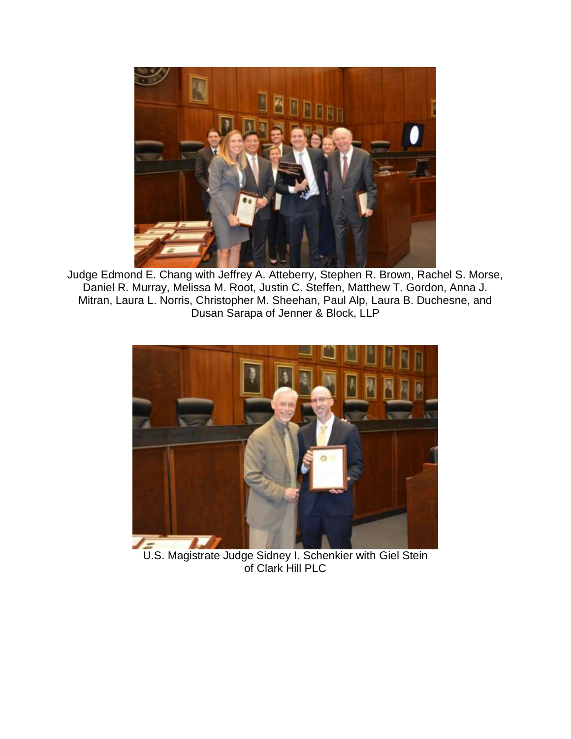

Judge Edmond E. Chang with Jeffrey A. Atteberry, Stephen R. Brown, Rachel S. Morse, Daniel R. Murray, Melissa M. Root, Justin C. Steffen, Matthew T. Gordon, Anna J. Mitran, Laura L. Norris, Christopher M. Sheehan, Paul Alp, Laura B. Duchesne, and Dusan Sarapa of Jenner & Block, LLP



U.S. Magistrate Judge Sidney I. Schenkier with Giel Stein of Clark Hill PLC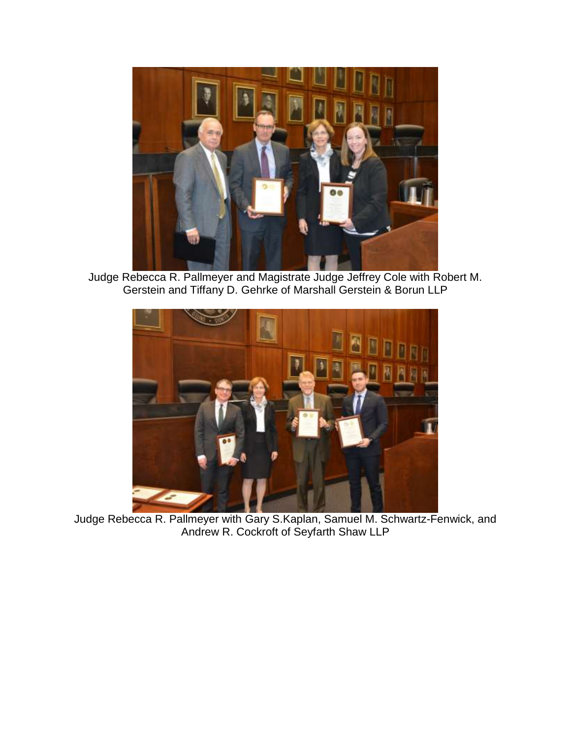

Judge Rebecca R. Pallmeyer and Magistrate Judge Jeffrey Cole with Robert M. Gerstein and Tiffany D. Gehrke of Marshall Gerstein & Borun LLP



Judge Rebecca R. Pallmeyer with Gary S.Kaplan, Samuel M. Schwartz-Fenwick, and Andrew R. Cockroft of Seyfarth Shaw LLP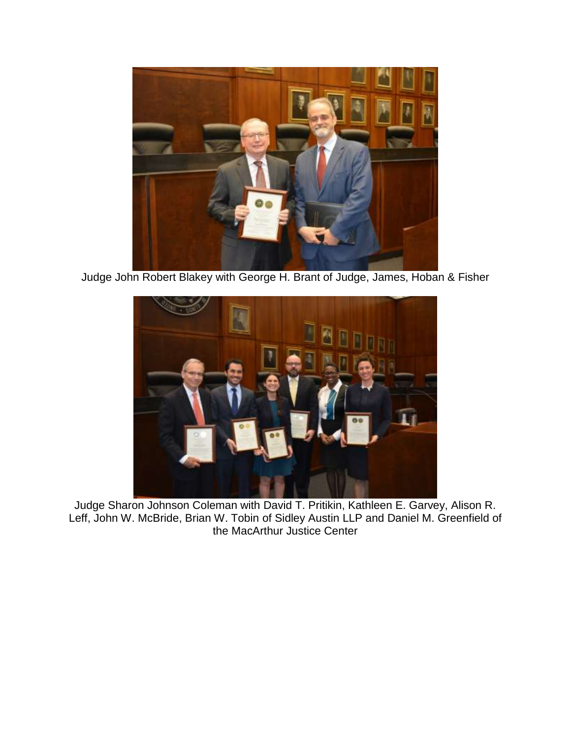

Judge John Robert Blakey with George H. Brant of Judge, James, Hoban & Fisher



Judge Sharon Johnson Coleman with David T. Pritikin, Kathleen E. Garvey, Alison R. Leff, John W. McBride, Brian W. Tobin of Sidley Austin LLP and Daniel M. Greenfield of the MacArthur Justice Center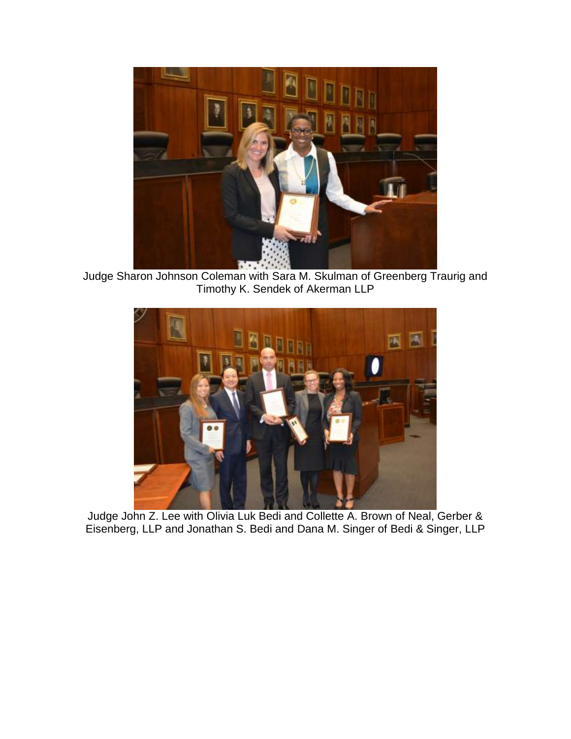

Judge Sharon Johnson Coleman with Sara M. Skulman of Greenberg Traurig and Timothy K. Sendek of Akerman LLP



Judge John Z. Lee with Olivia Luk Bedi and Collette A. Brown of Neal, Gerber & Eisenberg, LLP and Jonathan S. Bedi and Dana M. Singer of Bedi & Singer, LLP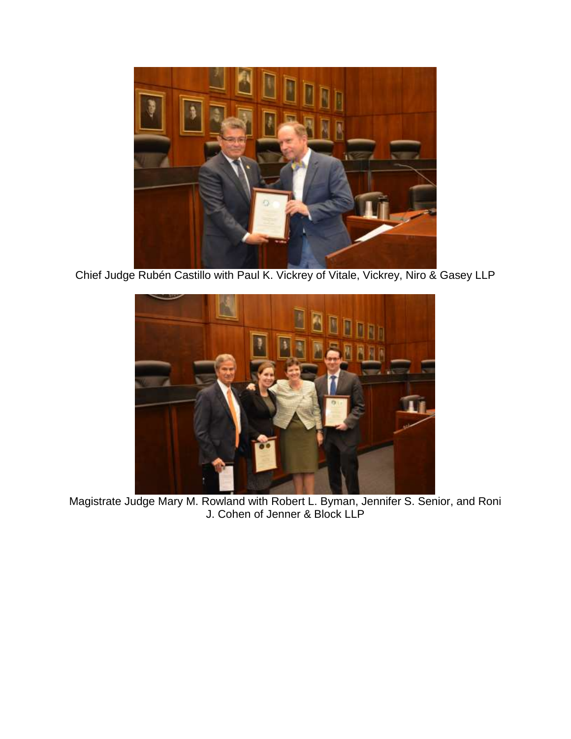

Chief Judge Rubén Castillo with Paul K. Vickrey of Vitale, Vickrey, Niro & Gasey LLP



Magistrate Judge Mary M. Rowland with Robert L. Byman, Jennifer S. Senior, and Roni J. Cohen of Jenner & Block LLP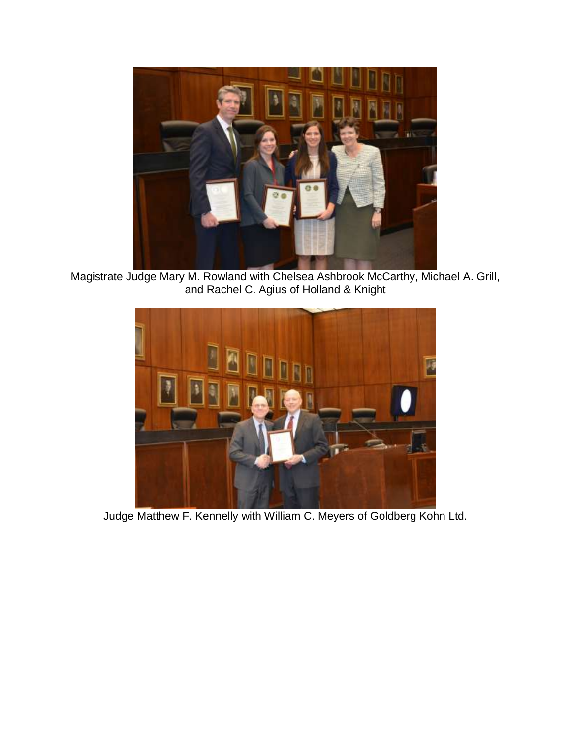

Magistrate Judge Mary M. Rowland with Chelsea Ashbrook McCarthy, Michael A. Grill, and Rachel C. Agius of Holland & Knight



Judge Matthew F. Kennelly with William C. Meyers of Goldberg Kohn Ltd.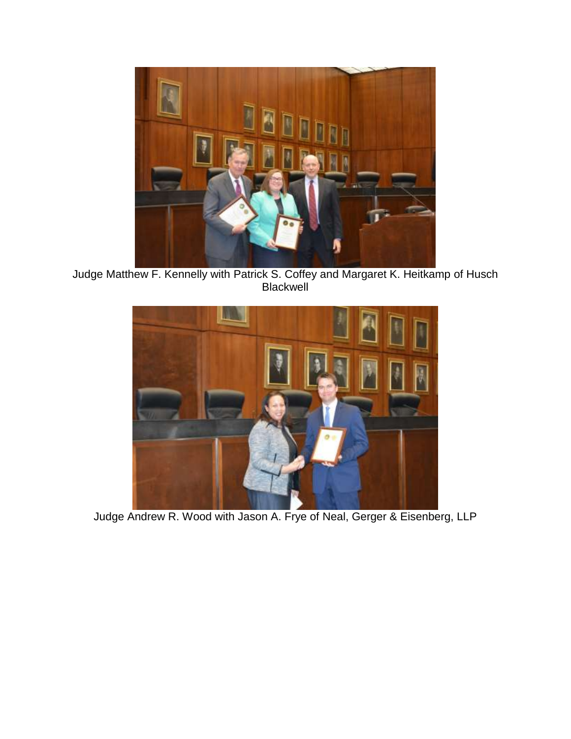

Judge Matthew F. Kennelly with Patrick S. Coffey and Margaret K. Heitkamp of Husch Blackwell



Judge Andrew R. Wood with Jason A. Frye of Neal, Gerger & Eisenberg, LLP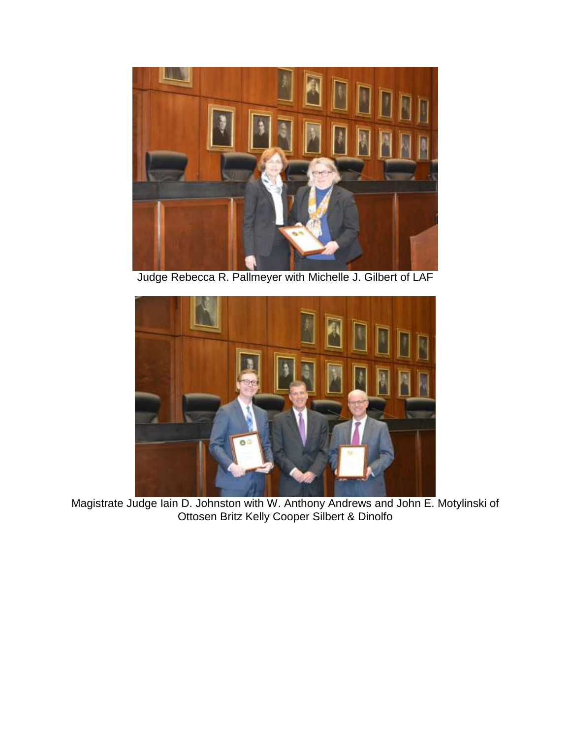

Judge Rebecca R. Pallmeyer with Michelle J. Gilbert of LAF



Magistrate Judge Iain D. Johnston with W. Anthony Andrews and John E. Motylinski of Ottosen Britz Kelly Cooper Silbert & Dinolfo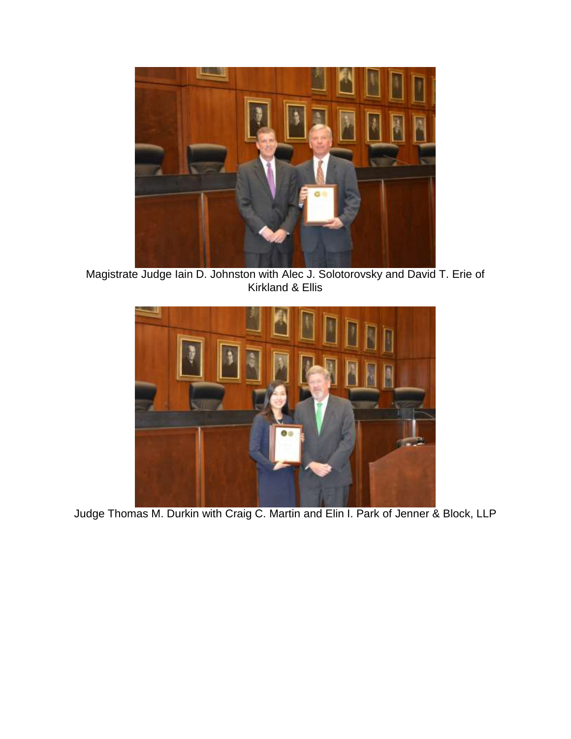

Magistrate Judge Iain D. Johnston with Alec J. Solotorovsky and David T. Erie of Kirkland & Ellis



Judge Thomas M. Durkin with Craig C. Martin and Elin I. Park of Jenner & Block, LLP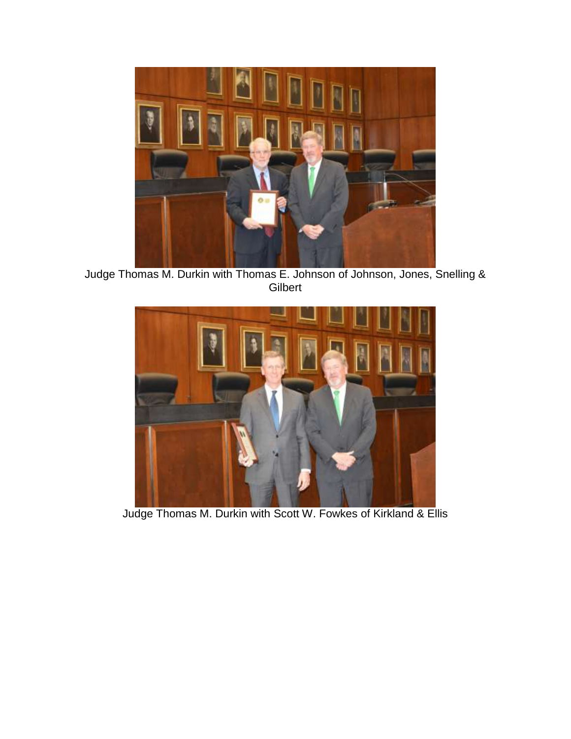

Judge Thomas M. Durkin with Thomas E. Johnson of Johnson, Jones, Snelling & Gilbert



Judge Thomas M. Durkin with Scott W. Fowkes of Kirkland & Ellis